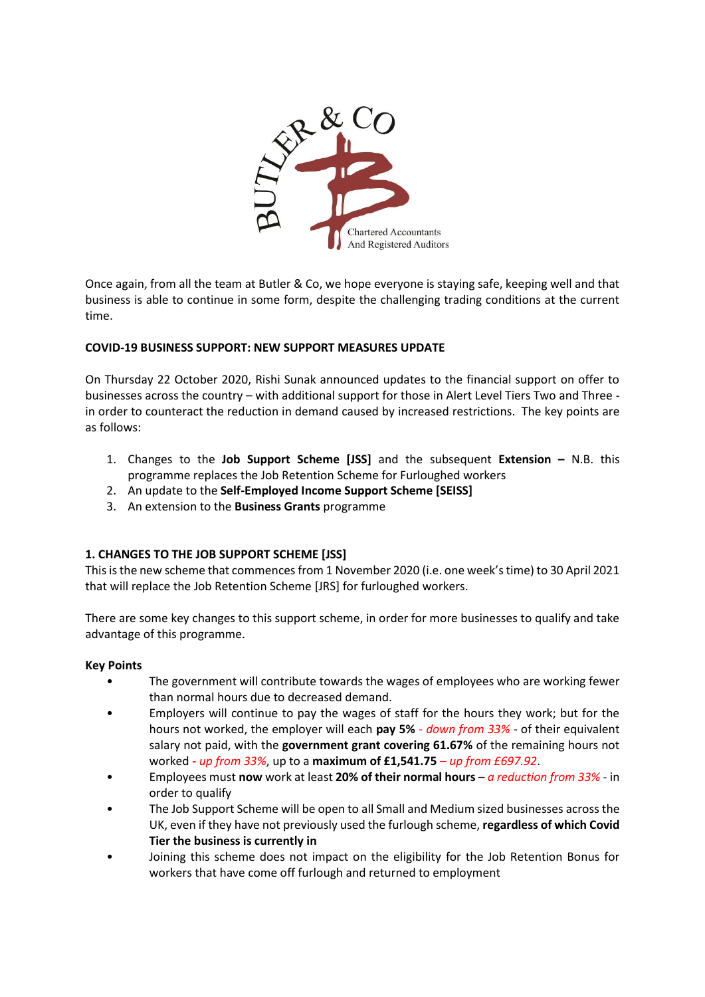

Once again, from all the team at Butler & Co, we hope everyone is staying safe, keeping well and that business is able to continue in some form, despite the challenging trading conditions at the current time.

# **COVID-19 BUSINESS SUPPORT: NEW SUPPORT MEASURES UPDATE**

On Thursday 22 October 2020, Rishi Sunak announced updates to the financial support on offer to businesses across the country – with additional support for those in Alert Level Tiers Two and Three in order to counteract the reduction in demand caused by increased restrictions. The key points are as follows:

- 1. Changes to the **Job Support Scheme [JSS]** and the subsequent **Extension –** N.B. this programme replaces the Job Retention Scheme for Furloughed workers
- 2. An update to the **Self-Employed Income Support Scheme [SEISS]**
- 3. An extension to the **Business Grants** programme

#### **1. CHANGES TO THE JOB SUPPORT SCHEME [JSS]**

This is the new scheme that commences from 1 November 2020 (i.e. one week's time) to 30 April 2021 that will replace the Job Retention Scheme [JRS] for furloughed workers.

There are some key changes to this support scheme, in order for more businesses to qualify and take advantage of this programme.

#### **Key Points**

- The government will contribute towards the wages of employees who are working fewer than normal hours due to decreased demand.
- Employers will continue to pay the wages of staff for the hours they work; but for the hours not worked, the employer will each **pay 5%** - *down from 33%* - of their equivalent salary not paid, with the **government grant covering 61.67%** of the remaining hours not worked **-** *up from 33%*, up to a **maximum of £1,541.75** – *up from £697.92*.
- Employees must **now** work at least **20% of their normal hours** *a reduction from 33%* in order to qualify
- The Job Support Scheme will be open to all Small and Medium sized businesses across the UK, even if they have not previously used the furlough scheme, **regardless of which Covid Tier the business is currently in**
- Joining this scheme does not impact on the eligibility for the Job Retention Bonus for workers that have come off furlough and returned to employment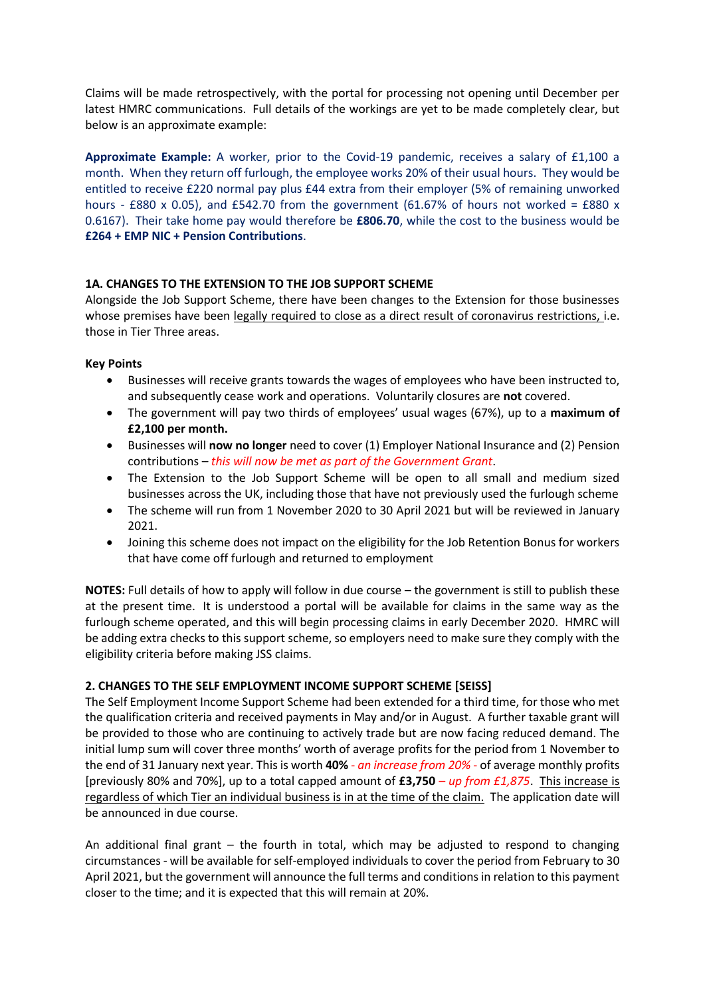Claims will be made retrospectively, with the portal for processing not opening until December per latest HMRC communications. Full details of the workings are yet to be made completely clear, but below is an approximate example:

**Approximate Example:** A worker, prior to the Covid-19 pandemic, receives a salary of £1,100 a month. When they return off furlough, the employee works 20% of their usual hours. They would be entitled to receive £220 normal pay plus £44 extra from their employer (5% of remaining unworked hours - £880 x 0.05), and £542.70 from the government (61.67% of hours not worked = £880 x 0.6167). Their take home pay would therefore be **£806.70**, while the cost to the business would be **£264 + EMP NIC + Pension Contributions**.

# **1A. CHANGES TO THE EXTENSION TO THE JOB SUPPORT SCHEME**

Alongside the Job Support Scheme, there have been changes to the Extension for those businesses whose premises have been legally required to close as a direct result of coronavirus restrictions, i.e. those in Tier Three areas.

# **Key Points**

- Businesses will receive grants towards the wages of employees who have been instructed to, and subsequently cease work and operations. Voluntarily closures are **not** covered.
- The government will pay two thirds of employees' usual wages (67%), up to a **maximum of £2,100 per month.**
- Businesses will **now no longer** need to cover (1) Employer National Insurance and (2) Pension contributions – *this will now be met as part of the Government Grant*.
- The Extension to the Job Support Scheme will be open to all small and medium sized businesses across the UK, including those that have not previously used the furlough scheme
- The scheme will run from 1 November 2020 to 30 April 2021 but will be reviewed in January 2021.
- Joining this scheme does not impact on the eligibility for the Job Retention Bonus for workers that have come off furlough and returned to employment

**NOTES:** Full details of how to apply will follow in due course – the government is still to publish these at the present time. It is understood a portal will be available for claims in the same way as the furlough scheme operated, and this will begin processing claims in early December 2020. HMRC will be adding extra checks to this support scheme, so employers need to make sure they comply with the eligibility criteria before making JSS claims.

# **2. CHANGES TO THE SELF EMPLOYMENT INCOME SUPPORT SCHEME [SEISS]**

The Self Employment Income Support Scheme had been extended for a third time, for those who met the qualification criteria and received payments in May and/or in August. A further taxable grant will be provided to those who are continuing to actively trade but are now facing reduced demand. The initial lump sum will cover three months' worth of average profits for the period from 1 November to the end of 31 January next year. This is worth **40%** - *an increase from 20%* - of average monthly profits [previously 80% and 70%], up to a total capped amount of **£3,750** *– up from £1,875*. This increase is regardless of which Tier an individual business is in at the time of the claim. The application date will be announced in due course.

An additional final grant  $-$  the fourth in total, which may be adjusted to respond to changing circumstances - will be available for self-employed individuals to cover the period from February to 30 April 2021, but the government will announce the full terms and conditions in relation to this payment closer to the time; and it is expected that this will remain at 20%.